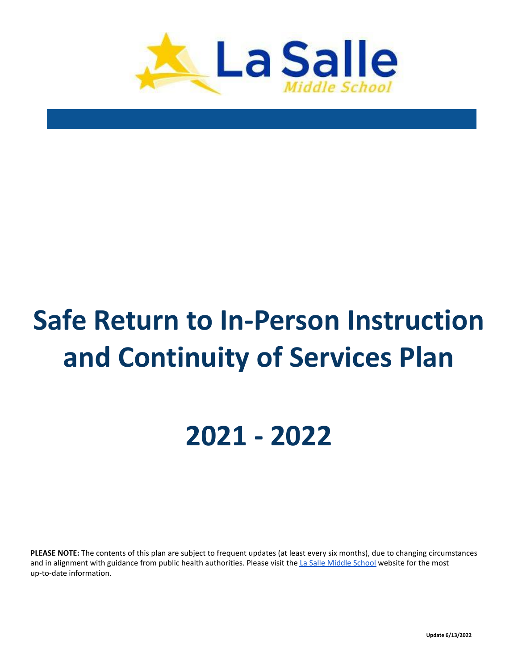

# **Safe Return to In-Person Instruction and Continuity of Services Plan**

## **2021 - 2022**

**PLEASE NOTE:** The contents of this plan are subject to frequent updates (at least every six months), due to changing circumstances and in alignment with guidance from public health authorities. Please visit the La Salle [Middle](https://www.lasallemiddleschool.org/) School website for the most up-to-date information.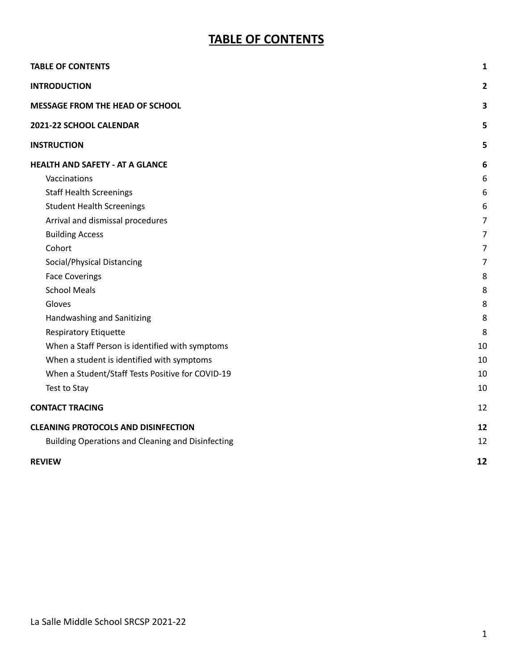### **TABLE OF CONTENTS**

<span id="page-1-0"></span>

| <b>TABLE OF CONTENTS</b>                          | 1              |
|---------------------------------------------------|----------------|
| <b>INTRODUCTION</b>                               | 2              |
| <b>MESSAGE FROM THE HEAD OF SCHOOL</b>            | 3              |
| 2021-22 SCHOOL CALENDAR                           | 5              |
| <b>INSTRUCTION</b>                                | 5              |
| <b>HEALTH AND SAFETY - AT A GLANCE</b>            | 6              |
| Vaccinations                                      | 6              |
| <b>Staff Health Screenings</b>                    | 6              |
| <b>Student Health Screenings</b>                  | 6              |
| Arrival and dismissal procedures                  | $\overline{7}$ |
| <b>Building Access</b>                            | 7              |
| Cohort                                            | 7              |
| Social/Physical Distancing                        | 7              |
| <b>Face Coverings</b>                             | 8              |
| <b>School Meals</b>                               | 8              |
| Gloves                                            | 8              |
| Handwashing and Sanitizing                        | 8              |
| <b>Respiratory Etiquette</b>                      | 8              |
| When a Staff Person is identified with symptoms   | 10             |
| When a student is identified with symptoms        | 10             |
| When a Student/Staff Tests Positive for COVID-19  | 10             |
| Test to Stay                                      | 10             |
| <b>CONTACT TRACING</b>                            | 12             |
| <b>CLEANING PROTOCOLS AND DISINFECTION</b>        | 12             |
| Building Operations and Cleaning and Disinfecting | 12             |
| <b>REVIEW</b>                                     | 12             |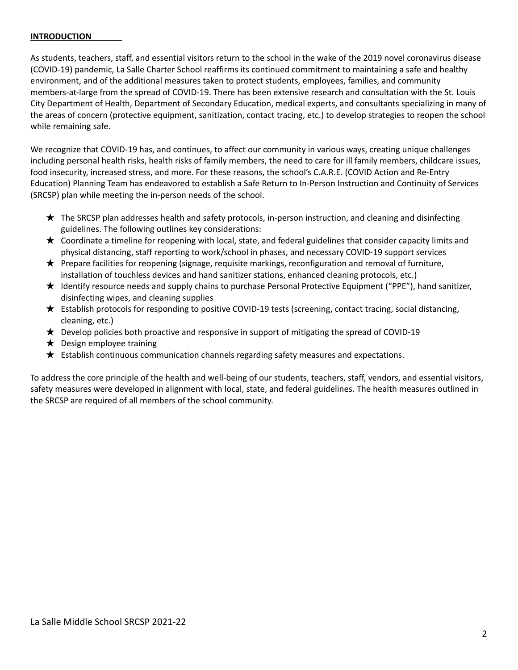#### <span id="page-2-0"></span>**INTRODUCTION**

As students, teachers, staff, and essential visitors return to the school in the wake of the 2019 novel coronavirus disease (COVID-19) pandemic, La Salle Charter School reaffirms its continued commitment to maintaining a safe and healthy environment, and of the additional measures taken to protect students, employees, families, and community members-at-large from the spread of COVID-19. There has been extensive research and consultation with the St. Louis City Department of Health, Department of Secondary Education, medical experts, and consultants specializing in many of the areas of concern (protective equipment, sanitization, contact tracing, etc.) to develop strategies to reopen the school while remaining safe.

We recognize that COVID-19 has, and continues, to affect our community in various ways, creating unique challenges including personal health risks, health risks of family members, the need to care for ill family members, childcare issues, food insecurity, increased stress, and more. For these reasons, the school's C.A.R.E. (COVID Action and Re-Entry Education) Planning Team has endeavored to establish a Safe Return to In-Person Instruction and Continuity of Services (SRCSP) plan while meeting the in-person needs of the school.

- ★ The SRCSP plan addresses health and safety protocols, in-person instruction, and cleaning and disinfecting guidelines. The following outlines key considerations:
- $\star$  Coordinate a timeline for reopening with local, state, and federal guidelines that consider capacity limits and physical distancing, staff reporting to work/school in phases, and necessary COVID-19 support services
- ★ Prepare facilities for reopening (signage, requisite markings, reconfiguration and removal of furniture, installation of touchless devices and hand sanitizer stations, enhanced cleaning protocols, etc.)
- ★ Identify resource needs and supply chains to purchase Personal Protective Equipment ("PPE"), hand sanitizer, disinfecting wipes, and cleaning supplies
- ★ Establish protocols for responding to positive COVID-19 tests (screening, contact tracing, social distancing, cleaning, etc.)
- $\star$  Develop policies both proactive and responsive in support of mitigating the spread of COVID-19
- $\bigstar$  Design employee training
- $\star$  Establish continuous communication channels regarding safety measures and expectations.

To address the core principle of the health and well-being of our students, teachers, staff, vendors, and essential visitors, safety measures were developed in alignment with local, state, and federal guidelines. The health measures outlined in the SRCSP are required of all members of the school community.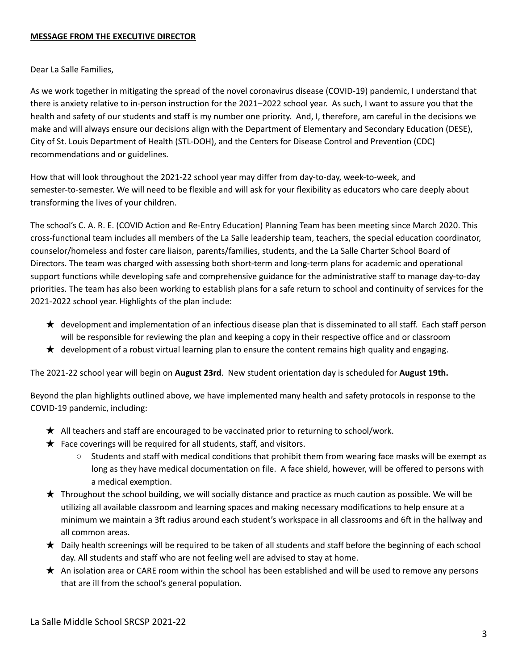#### <span id="page-3-0"></span>**MESSAGE FROM THE EXECUTIVE DIRECTOR**

Dear La Salle Families,

As we work together in mitigating the spread of the novel coronavirus disease (COVID-19) pandemic, I understand that there is anxiety relative to in-person instruction for the 2021–2022 school year. As such, I want to assure you that the health and safety of our students and staff is my number one priority. And, I, therefore, am careful in the decisions we make and will always ensure our decisions align with the Department of Elementary and Secondary Education (DESE), City of St. Louis Department of Health (STL-DOH), and the Centers for Disease Control and Prevention (CDC) recommendations and or guidelines.

How that will look throughout the 2021-22 school year may differ from day-to-day, week-to-week, and semester-to-semester. We will need to be flexible and will ask for your flexibility as educators who care deeply about transforming the lives of your children.

The school's C. A. R. E. (COVID Action and Re-Entry Education) Planning Team has been meeting since March 2020. This cross-functional team includes all members of the La Salle leadership team, teachers, the special education coordinator, counselor/homeless and foster care liaison, parents/families, students, and the La Salle Charter School Board of Directors. The team was charged with assessing both short-term and long-term plans for academic and operational support functions while developing safe and comprehensive guidance for the administrative staff to manage day-to-day priorities. The team has also been working to establish plans for a safe return to school and continuity of services for the 2021-2022 school year. Highlights of the plan include:

- ★ development and implementation of an infectious disease plan that is disseminated to all staff. Each staff person will be responsible for reviewing the plan and keeping a copy in their respective office and or classroom
- $\star$  development of a robust virtual learning plan to ensure the content remains high quality and engaging.

The 2021-22 school year will begin on **August 23rd**. New student orientation day is scheduled for **August 19th.**

Beyond the plan highlights outlined above, we have implemented many health and safety protocols in response to the COVID-19 pandemic, including:

- ★ All teachers and staff are encouraged to be vaccinated prior to returning to school/work.
- $\bigstar$  Face coverings will be required for all students, staff, and visitors.
	- Students and staff with medical conditions that prohibit them from wearing face masks will be exempt as long as they have medical documentation on file. A face shield, however, will be offered to persons with a medical exemption.
- $\star$  Throughout the school building, we will socially distance and practice as much caution as possible. We will be utilizing all available classroom and learning spaces and making necessary modifications to help ensure at a minimum we maintain a 3ft radius around each student's workspace in all classrooms and 6ft in the hallway and all common areas.
- ★ Daily health screenings will be required to be taken of all students and staff before the beginning of each school day. All students and staff who are not feeling well are advised to stay at home.
- ★ An isolation area or CARE room within the school has been established and will be used to remove any persons that are ill from the school's general population.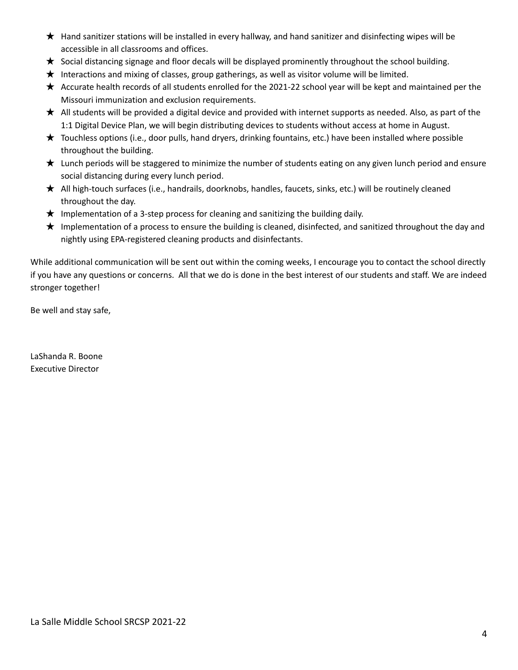- ★ Hand sanitizer stations will be installed in every hallway, and hand sanitizer and disinfecting wipes will be accessible in all classrooms and offices.
- $\star$  Social distancing signage and floor decals will be displayed prominently throughout the school building.
- ★ Interactions and mixing of classes, group gatherings, as well as visitor volume will be limited.
- ★ Accurate health records of all students enrolled for the 2021-22 school year will be kept and maintained per the Missouri immunization and exclusion requirements.
- $\star$  All students will be provided a digital device and provided with internet supports as needed. Also, as part of the 1:1 Digital Device Plan, we will begin distributing devices to students without access at home in August.
- ★ Touchless options (i.e., door pulls, hand dryers, drinking fountains, etc.) have been installed where possible throughout the building.
- $\star$  Lunch periods will be staggered to minimize the number of students eating on any given lunch period and ensure social distancing during every lunch period.
- ★ All high-touch surfaces (i.e., handrails, doorknobs, handles, faucets, sinks, etc.) will be routinely cleaned throughout the day.
- $\star$  Implementation of a 3-step process for cleaning and sanitizing the building daily.
- ★ Implementation of a process to ensure the building is cleaned, disinfected, and sanitized throughout the day and nightly using EPA-registered cleaning products and disinfectants.

While additional communication will be sent out within the coming weeks, I encourage you to contact the school directly if you have any questions or concerns. All that we do is done in the best interest of our students and staff. We are indeed stronger together!

Be well and stay safe,

LaShanda R. Boone Executive Director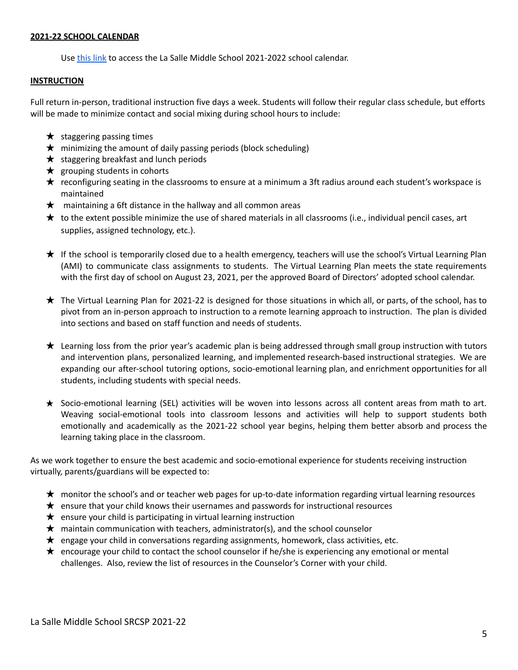#### <span id="page-5-0"></span>**2021-22 SCHOOL CALENDAR**

Use [this](https://docs.google.com/spreadsheets/d/e/2PACX-1vR86UdjR3X3OJf-sqW08rCZRqWDykQ4q78HPqkjpZAef9X9ZJXHIxGzM0s9R_AN3Rgroj8oaVluw2dR/pubhtml?gid=0&single=true) link to access the La Salle Middle School 2021-2022 school calendar.

#### <span id="page-5-1"></span>**INSTRUCTION**

Full return in-person, traditional instruction five days a week. Students will follow their regular class schedule, but efforts will be made to minimize contact and social mixing during school hours to include:

- $\star$  staggering passing times
- $\star$  minimizing the amount of daily passing periods (block scheduling)
- $\star$  staggering breakfast and lunch periods
- $\star$  grouping students in cohorts
- ★ reconfiguring seating in the classrooms to ensure at a minimum a 3ft radius around each student's workspace is maintained
- $\star$  maintaining a 6ft distance in the hallway and all common areas
- ★ to the extent possible minimize the use of shared materials in all classrooms (i.e., individual pencil cases, art supplies, assigned technology, etc.).
- ★ If the school is temporarily closed due to a health emergency, teachers will use the school's Virtual Learning Plan (AMI) to communicate class assignments to students. The Virtual Learning Plan meets the state requirements with the first day of school on August 23, 2021, per the approved Board of Directors' adopted school calendar.
- ★ The Virtual Learning Plan for 2021-22 is designed for those situations in which all, or parts, of the school, has to pivot from an in-person approach to instruction to a remote learning approach to instruction. The plan is divided into sections and based on staff function and needs of students.
- ★ Learning loss from the prior year's academic plan is being addressed through small group instruction with tutors and intervention plans, personalized learning, and implemented research-based instructional strategies. We are expanding our after-school tutoring options, socio-emotional learning plan, and enrichment opportunities for all students, including students with special needs.
- ★ Socio-emotional learning (SEL) activities will be woven into lessons across all content areas from math to art. Weaving social-emotional tools into classroom lessons and activities will help to support students both emotionally and academically as the 2021-22 school year begins, helping them better absorb and process the learning taking place in the classroom.

As we work together to ensure the best academic and socio-emotional experience for students receiving instruction virtually, parents/guardians will be expected to:

- ★ monitor the school's and or teacher web pages for up-to-date information regarding virtual learning resources
- $\star$  ensure that your child knows their usernames and passwords for instructional resources
- $\star$  ensure your child is participating in virtual learning instruction
- $\star$  maintain communication with teachers, administrator(s), and the school counselor
- ★ engage your child in conversations regarding assignments, homework, class activities, etc.
- ★ encourage your child to contact the school counselor if he/she is experiencing any emotional or mental challenges. Also, review the list of resources in the Counselor's Corner with your child.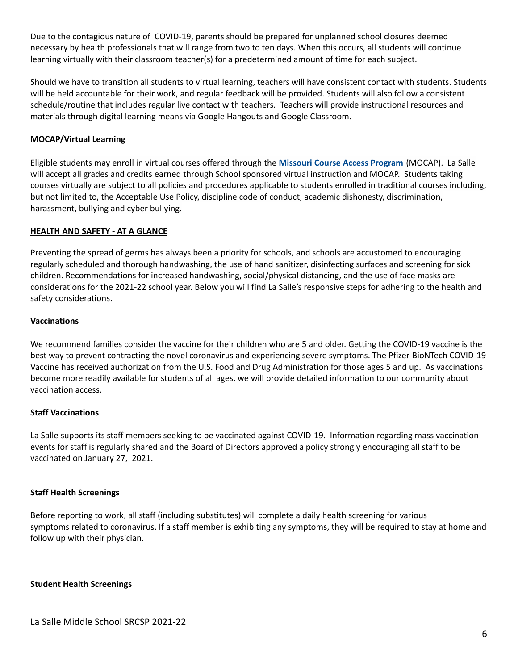Due to the contagious nature of COVID-19, parents should be prepared for unplanned school closures deemed necessary by health professionals that will range from two to ten days. When this occurs, all students will continue learning virtually with their classroom teacher(s) for a predetermined amount of time for each subject.

Should we have to transition all students to virtual learning, teachers will have consistent contact with students. Students will be held accountable for their work, and regular feedback will be provided. Students will also follow a consistent schedule/routine that includes regular live contact with teachers. Teachers will provide instructional resources and materials through digital learning means via Google Hangouts and Google Classroom.

#### **MOCAP/Virtual Learning**

Eligible students may enroll in virtual courses offered through the **[Missouri](https://mocap.mo.gov/) Course Access Program** (MOCAP). La Salle will accept all grades and credits earned through School sponsored virtual instruction and MOCAP. Students taking courses virtually are subject to all policies and procedures applicable to students enrolled in traditional courses including, but not limited to, the Acceptable Use Policy, discipline code of conduct, academic dishonesty, discrimination, harassment, bullying and cyber bullying.

#### <span id="page-6-0"></span>**HEALTH AND SAFETY - AT A GLANCE**

Preventing the spread of germs has always been a priority for schools, and schools are accustomed to encouraging regularly scheduled and thorough handwashing, the use of hand sanitizer, disinfecting surfaces and screening for sick children. Recommendations for increased handwashing, social/physical distancing, and the use of face masks are considerations for the 2021-22 school year. Below you will find La Salle's responsive steps for adhering to the health and safety considerations.

#### <span id="page-6-1"></span>**Vaccinations**

We recommend families consider the vaccine for their children who are 5 and older. Getting the COVID-19 vaccine is the best way to prevent contracting the novel coronavirus and experiencing severe symptoms. The Pfizer-BioNTech COVID-19 Vaccine has received authorization from the U.S. Food and Drug Administration for those ages 5 and up. As vaccinations become more readily available for students of all ages, we will provide detailed information to our community about vaccination access.

#### **Staff Vaccinations**

La Salle supports its staff members seeking to be vaccinated against COVID-19. Information regarding mass vaccination events for staff is regularly shared and the Board of Directors approved a policy strongly encouraging all staff to be vaccinated on January 27, 2021.

#### <span id="page-6-2"></span>**Staff Health Screenings**

Before reporting to work, all staff (including substitutes) will complete a daily health screening for various symptoms related to coronavirus. If a staff member is exhibiting any symptoms, they will be required to stay at home and follow up with their physician.

#### **Student Health Screenings**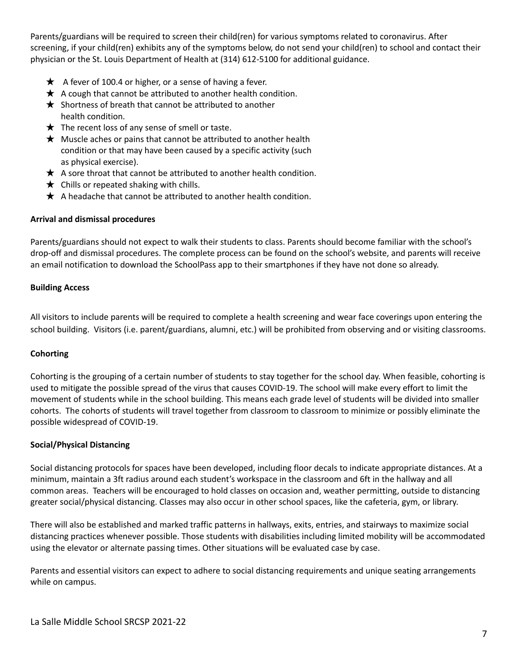Parents/guardians will be required to screen their child(ren) for various symptoms related to coronavirus. After screening, if your child(ren) exhibits any of the symptoms below, do not send your child(ren) to school and contact their physician or the St. Louis Department of Health at (314) 612-5100 for additional guidance.

- $\star$  A fever of 100.4 or higher, or a sense of having a fever.
- $\star$  A cough that cannot be attributed to another health condition.
- $\bigstar$  Shortness of breath that cannot be attributed to another health condition.
- $\bigstar$  The recent loss of any sense of smell or taste.
- $\star$  Muscle aches or pains that cannot be attributed to another health condition or that may have been caused by a specific activity (such as physical exercise).
- $\star$  A sore throat that cannot be attributed to another health condition.
- $\bigstar$  Chills or repeated shaking with chills.
- $\star$  A headache that cannot be attributed to another health condition.

#### <span id="page-7-0"></span>**Arrival and dismissal procedures**

Parents/guardians should not expect to walk their students to class. Parents should become familiar with the school's drop-off and dismissal procedures. The complete process can be found on the school's website, and parents will receive an email notification to download the SchoolPass app to their smartphones if they have not done so already.

#### **Building Access**

All visitors to include parents will be required to complete a health screening and wear face coverings upon entering the school building. Visitors (i.e. parent/guardians, alumni, etc.) will be prohibited from observing and or visiting classrooms.

#### <span id="page-7-1"></span>**Cohorting**

Cohorting is the grouping of a certain number of students to stay together for the school day. When feasible, cohorting is used to mitigate the possible spread of the virus that causes COVID-19. The school will make every effort to limit the movement of students while in the school building. This means each grade level of students will be divided into smaller cohorts. The cohorts of students will travel together from classroom to classroom to minimize or possibly eliminate the possible widespread of COVID-19.

#### <span id="page-7-2"></span>**Social/Physical Distancing**

Social distancing protocols for spaces have been developed, including floor decals to indicate appropriate distances. At a minimum, maintain a 3ft radius around each student's workspace in the classroom and 6ft in the hallway and all common areas. Teachers will be encouraged to hold classes on occasion and, weather permitting, outside to distancing greater social/physical distancing. Classes may also occur in other school spaces, like the cafeteria, gym, or library.

There will also be established and marked traffic patterns in hallways, exits, entries, and stairways to maximize social distancing practices whenever possible. Those students with disabilities including limited mobility will be accommodated using the elevator or alternate passing times. Other situations will be evaluated case by case.

Parents and essential visitors can expect to adhere to social distancing requirements and unique seating arrangements while on campus.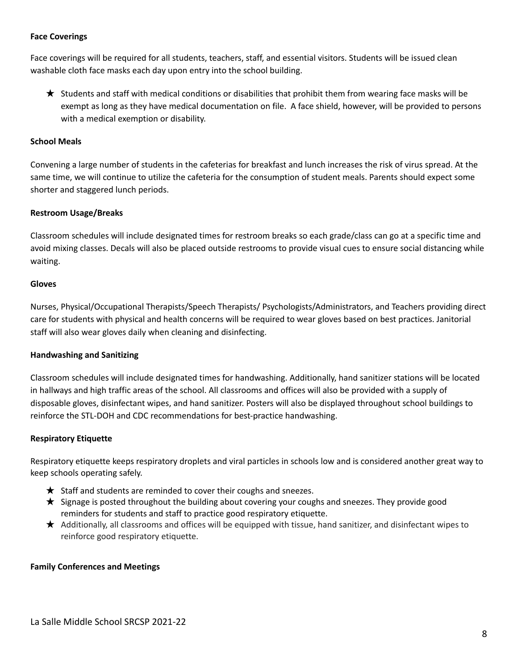#### <span id="page-8-0"></span>**Face Coverings**

Face coverings will be required for all students, teachers, staff, and essential visitors. Students will be issued clean washable cloth face masks each day upon entry into the school building.

★ Students and staff with medical conditions or disabilities that prohibit them from wearing face masks will be exempt as long as they have medical documentation on file. A face shield, however, will be provided to persons with a medical exemption or disability.

#### <span id="page-8-1"></span>**School Meals**

Convening a large number of students in the cafeterias for breakfast and lunch increases the risk of virus spread. At the same time, we will continue to utilize the cafeteria for the consumption of student meals. Parents should expect some shorter and staggered lunch periods.

#### **Restroom Usage/Breaks**

Classroom schedules will include designated times for restroom breaks so each grade/class can go at a specific time and avoid mixing classes. Decals will also be placed outside restrooms to provide visual cues to ensure social distancing while waiting.

#### <span id="page-8-2"></span>**Gloves**

Nurses, Physical/Occupational Therapists/Speech Therapists/ Psychologists/Administrators, and Teachers providing direct care for students with physical and health concerns will be required to wear gloves based on best practices. Janitorial staff will also wear gloves daily when cleaning and disinfecting.

#### <span id="page-8-3"></span>**Handwashing and Sanitizing**

Classroom schedules will include designated times for handwashing. Additionally, hand sanitizer stations will be located in hallways and high traffic areas of the school. All classrooms and offices will also be provided with a supply of disposable gloves, disinfectant wipes, and hand sanitizer. Posters will also be displayed throughout school buildings to reinforce the STL-DOH and CDC recommendations for best-practice handwashing.

#### <span id="page-8-4"></span>**Respiratory Etiquette**

Respiratory etiquette keeps respiratory droplets and viral particles in schools low and is considered another great way to keep schools operating safely.

- $\star$  Staff and students are reminded to cover their coughs and sneezes.
- ★ Signage is posted throughout the building about covering your coughs and sneezes. They provide good reminders for students and staff to practice good respiratory etiquette.
- ★ Additionally, all classrooms and offices will be equipped with tissue, hand sanitizer, and disinfectant wipes to reinforce good respiratory etiquette.

#### **Family Conferences and Meetings**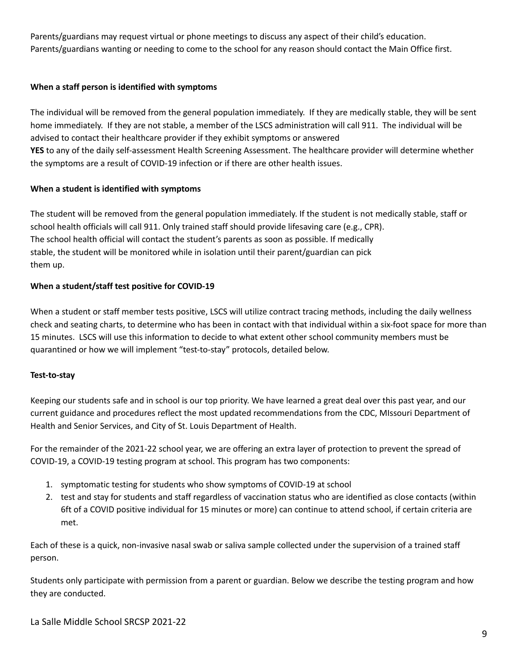Parents/guardians may request virtual or phone meetings to discuss any aspect of their child's education. Parents/guardians wanting or needing to come to the school for any reason should contact the Main Office first.

#### <span id="page-9-0"></span>**When a staff person is identified with symptoms**

The individual will be removed from the general population immediately. If they are medically stable, they will be sent home immediately. If they are not stable, a member of the LSCS administration will call 911. The individual will be advised to contact their healthcare provider if they exhibit symptoms or answered **YES** to any of the daily self-assessment Health Screening Assessment. The healthcare provider will determine whether the symptoms are a result of COVID-19 infection or if there are other health issues.

#### <span id="page-9-1"></span>**When a student is identified with symptoms**

The student will be removed from the general population immediately. If the student is not medically stable, staff or school health officials will call 911. Only trained staff should provide lifesaving care (e.g., CPR). The school health official will contact the student's parents as soon as possible. If medically stable, the student will be monitored while in isolation until their parent/guardian can pick them up.

#### <span id="page-9-2"></span>**When a student/staff test positive for COVID-19**

When a student or staff member tests positive, LSCS will utilize contract tracing methods, including the daily wellness check and seating charts, to determine who has been in contact with that individual within a six-foot space for more than 15 minutes. LSCS will use this information to decide to what extent other school community members must be quarantined or how we will implement "test-to-stay" protocols, detailed below.

#### **Test-to-stay**

Keeping our students safe and in school is our top priority. We have learned a great deal over this past year, and our current guidance and procedures reflect the most updated recommendations from the CDC, MIssouri Department of Health and Senior Services, and City of St. Louis Department of Health.

For the remainder of the 2021-22 school year, we are offering an extra layer of protection to prevent the spread of COVID-19, a COVID-19 testing program at school. This program has two components:

- 1. symptomatic testing for students who show symptoms of COVID-19 at school
- 2. test and stay for students and staff regardless of vaccination status who are identified as close contacts (within 6ft of a COVID positive individual for 15 minutes or more) can continue to attend school, if certain criteria are met.

Each of these is a quick, non-invasive nasal swab or saliva sample collected under the supervision of a trained staff person.

Students only participate with permission from a parent or guardian. Below we describe the testing program and how they are conducted.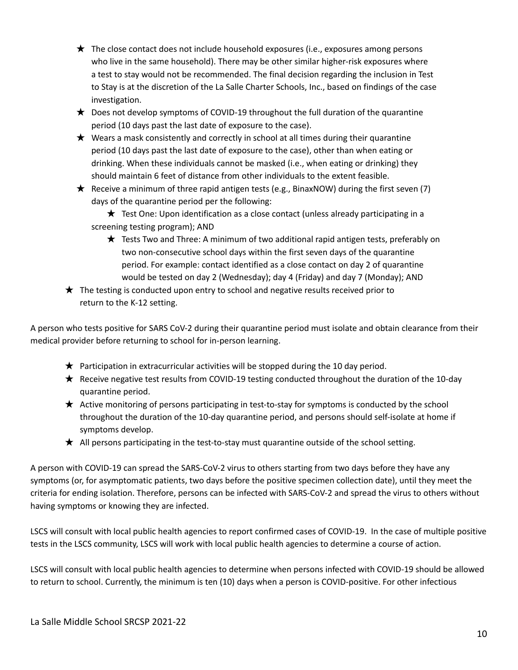- $\star$  The close contact does not include household exposures (i.e., exposures among persons who live in the same household). There may be other similar higher-risk exposures where a test to stay would not be recommended. The final decision regarding the inclusion in Test to Stay is at the discretion of the La Salle Charter Schools, Inc., based on findings of the case investigation.
- $\star$  Does not develop symptoms of COVID-19 throughout the full duration of the quarantine period (10 days past the last date of exposure to the case).
- $\star$  Wears a mask consistently and correctly in school at all times during their quarantine period (10 days past the last date of exposure to the case), other than when eating or drinking. When these individuals cannot be masked (i.e., when eating or drinking) they should maintain 6 feet of distance from other individuals to the extent feasible.
- $★$  Receive a minimum of three rapid antigen tests (e.g., BinaxNOW) during the first seven (7) days of the quarantine period per the following:

★ Test One: Upon identification as a close contact (unless already participating in a screening testing program); AND

- ★ Tests Two and Three: A minimum of two additional rapid antigen tests, preferably on two non-consecutive school days within the first seven days of the quarantine period. For example: contact identified as a close contact on day 2 of quarantine would be tested on day 2 (Wednesday); day 4 (Friday) and day 7 (Monday); AND
- $\star$  The testing is conducted upon entry to school and negative results received prior to return to the K-12 setting.

A person who tests positive for SARS CoV-2 during their quarantine period must isolate and obtain clearance from their medical provider before returning to school for in-person learning.

- $\star$  Participation in extracurricular activities will be stopped during the 10 day period.
- ★ Receive negative test results from COVID-19 testing conducted throughout the duration of the 10-day quarantine period.
- ★ Active monitoring of persons participating in test-to-stay for symptoms is conducted by the school throughout the duration of the 10-day quarantine period, and persons should self-isolate at home if symptoms develop.
- ★ All persons participating in the test-to-stay must quarantine outside of the school setting.

A person with COVID-19 can spread the SARS-CoV-2 virus to others starting from two days before they have any symptoms (or, for asymptomatic patients, two days before the positive specimen collection date), until they meet the criteria for ending isolation. Therefore, persons can be infected with SARS-CoV-2 and spread the virus to others without having symptoms or knowing they are infected.

LSCS will consult with local public health agencies to report confirmed cases of COVID-19. In the case of multiple positive tests in the LSCS community, LSCS will work with local public health agencies to determine a course of action.

LSCS will consult with local public health agencies to determine when persons infected with COVID-19 should be allowed to return to school. Currently, the minimum is ten (10) days when a person is COVID-positive. For other infectious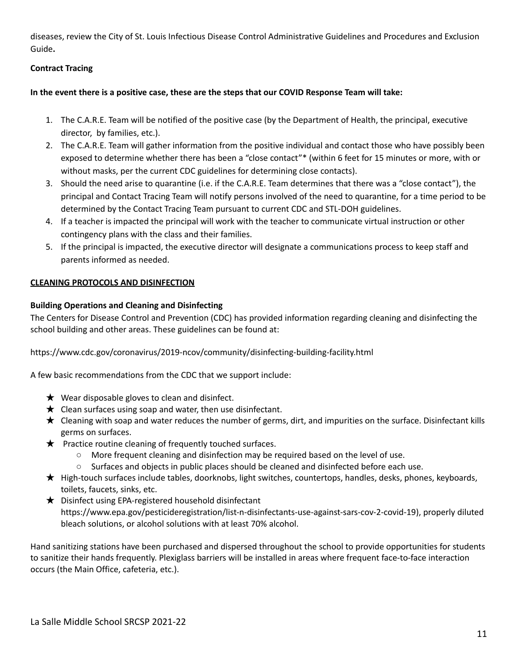diseases, review the City of St. Louis Infectious Disease Control Administrative Guidelines and Procedures and Exclusion Guide**.**

#### <span id="page-11-0"></span>**Contract Tracing**

#### In the event there is a positive case, these are the steps that our COVID Response Team will take:

- 1. The C.A.R.E. Team will be notified of the positive case (by the Department of Health, the principal, executive director, by families, etc.).
- 2. The C.A.R.E. Team will gather information from the positive individual and contact those who have possibly been exposed to determine whether there has been a "close contact"\* (within 6 feet for 15 minutes or more, with or without masks, per the current CDC guidelines for determining close contacts).
- 3. Should the need arise to quarantine (i.e. if the C.A.R.E. Team determines that there was a "close contact"), the principal and Contact Tracing Team will notify persons involved of the need to quarantine, for a time period to be determined by the Contact Tracing Team pursuant to current CDC and STL-DOH guidelines.
- 4. If a teacher is impacted the principal will work with the teacher to communicate virtual instruction or other contingency plans with the class and their families.
- 5. If the principal is impacted, the executive director will designate a communications process to keep staff and parents informed as needed.

#### <span id="page-11-1"></span>**CLEANING PROTOCOLS AND DISINFECTION**

#### <span id="page-11-2"></span>**Building Operations and Cleaning and Disinfecting**

The Centers for Disease Control and Prevention (CDC) has provided information regarding cleaning and disinfecting the school building and other areas. These guidelines can be found at:

https://www.cdc.gov/coronavirus/2019-ncov/community/disinfecting-building-facility.html

A few basic recommendations from the CDC that we support include:

- $\bigstar$  Wear disposable gloves to clean and disinfect.
- $\bigstar$  Clean surfaces using soap and water, then use disinfectant.
- ★ Cleaning with soap and water reduces the number of germs, dirt, and impurities on the surface. Disinfectant kills germs on surfaces.
- $\star$  Practice routine cleaning of frequently touched surfaces.
	- More frequent cleaning and disinfection may be required based on the level of use.
	- Surfaces and objects in public places should be cleaned and disinfected before each use.
- ★ High-touch surfaces include tables, doorknobs, light switches, countertops, handles, desks, phones, keyboards, toilets, faucets, sinks, etc.
- ★ Disinfect using EPA-registered household disinfectant https://www.epa.gov/pesticideregistration/list-n-disinfectants-use-against-sars-cov-2-covid-19), properly diluted bleach solutions, or alcohol solutions with at least 70% alcohol.

Hand sanitizing stations have been purchased and dispersed throughout the school to provide opportunities for students to sanitize their hands frequently. Plexiglass barriers will be installed in areas where frequent face-to-face interaction occurs (the Main Office, cafeteria, etc.).